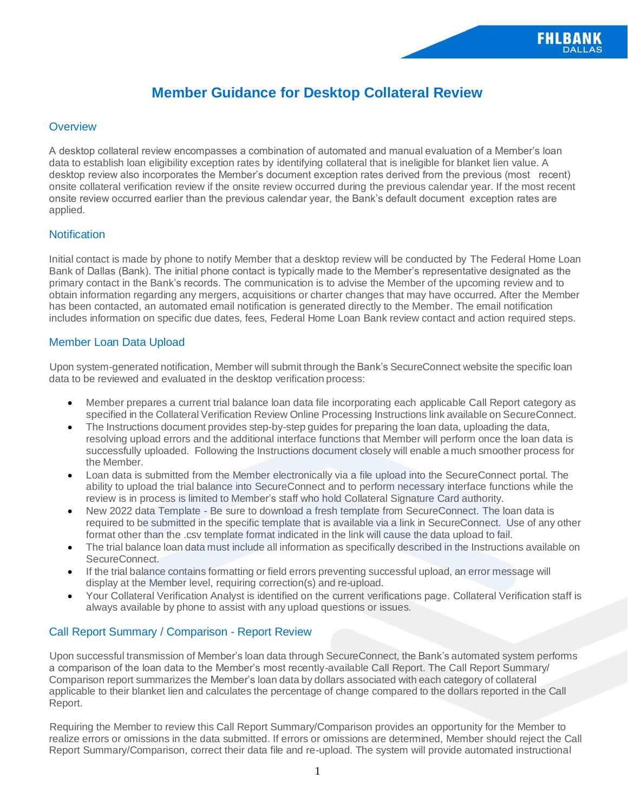# **Member Guidance for Desktop Collateral Review**

# **Overview**

A desktop collateral review encompasses a combination of automated and manual evaluation of a Member's loan data to establish loan eligibility exception rates by identifying collateral that is ineligible for blanket lien value. A desktop review also incorporates the Member's document exception rates derived from the previous (most recent) onsite collateral verification review if the onsite review occurred during the previous calendar year. If the most recent onsite review occurred earlier than the previous calendar year, the Bank's default document exception rates are applied.

## **Notification**

Initial contact is made by phone to notify Member that a desktop review will be conducted by The Federal Home Loan Bank of Dallas (Bank). The initial phone contact is typically made to the Member's representative designated as the primary contact in the Bank's records. The communication is to advise the Member of the upcoming review and to obtain information regarding any mergers, acquisitions or charter changes that may have occurred. After the Member has been contacted, an automated email notification is generated directly to the Member. The email notification includes information on specific due dates, fees, Federal Home Loan Bank review contact and action required steps.

## Member Loan Data Upload

Upon system-generated notification, Member will submit through the Bank's SecureConnect website the specific loan data to be reviewed and evaluated in the desktop verification process:

- Member prepares a current trial balance loan data file incorporating each applicable Call Report category as specified in the Collateral Verification Review Online Processing Instructions link available on SecureConnect.
- The Instructions document provides step-by-step guides for preparing the loan data, uploading the data, resolving upload errors and the additional interface functions that Member will perform once the loan data is successfully uploaded. Following the Instructions document closely will enable a much smoother process for the Member.
- Loan data is submitted from the Member electronically via a file upload into the SecureConnect portal. The ability to upload the trial balance into SecureConnect and to perform necessary interface functions while the review is in process is limited to Member's staff who hold Collateral Signature Card authority.
- New 2022 data Template Be sure to download a fresh template from SecureConnect. The loan data is required to be submitted in the specific template that is available via a link in SecureConnect. Use of any other format other than the .csv template format indicated in the link will cause the data upload to fail.
- The trial balance loan data must include all information as specifically described in the Instructions available on SecureConnect.
- If the trial balance contains formatting or field errors preventing successful upload, an error message will display at the Member level, requiring correction(s) and re-upload.
- Your Collateral Verification Analyst is identified on the current verifications page. Collateral Verification staff is always available by phone to assist with any upload questions or issues.

## Call Report Summary / Comparison - Report Review

Upon successful transmission of Member's loan data through SecureConnect, the Bank's automated system performs a comparison of the loan data to the Member's most recently-available Call Report. The Call Report Summary/ Comparison report summarizes the Member's loan data by dollars associated with each category of collateral applicable to their blanket lien and calculates the percentage of change compared to the dollars reported in the Call Report.

Requiring the Member to review this Call Report Summary/Comparison provides an opportunity for the Member to realize errors or omissions in the data submitted. If errors or omissions are determined, Member should reject the Call Report Summary/Comparison, correct their data file and re-upload. The system will provide automated instructional